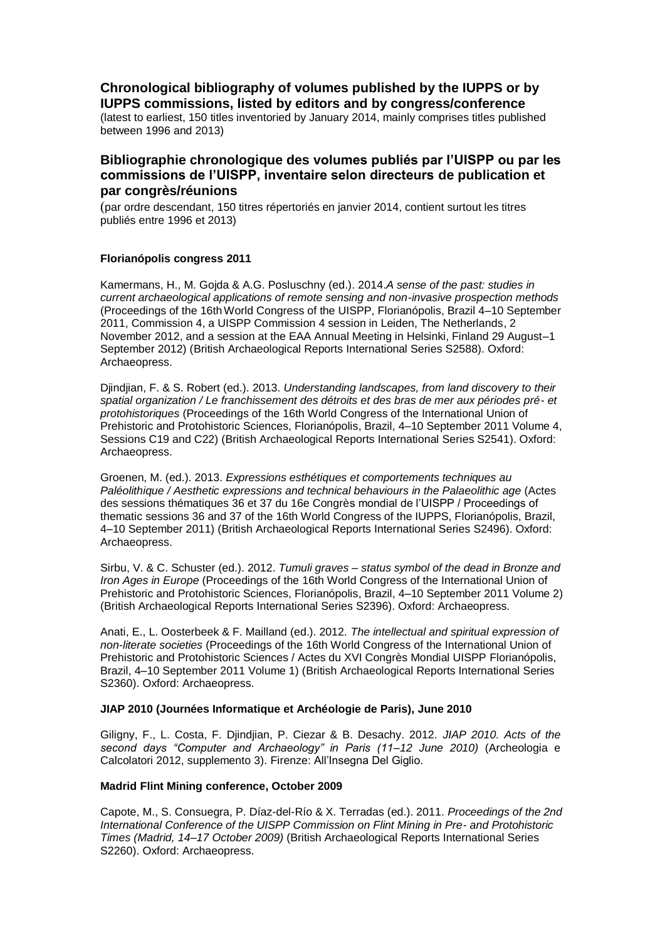# **Chronological bibliography of volumes published by the IUPPS or by IUPPS commissions, listed by editors and by congress/conference**

(latest to earliest, 150 titles inventoried by January 2014, mainly comprises titles published between 1996 and 2013)

## **Bibliographie chronologique des volumes publiés par l'UISPP ou par les commissions de l'UISPP, inventaire selon directeurs de publication et par congrès/réunions**

(par ordre descendant, 150 titres répertoriés en janvier 2014, contient surtout les titres publiés entre 1996 et 2013)

## **Florianópolis congress 2011**

Kamermans, H., M. Gojda & A.G. Posluschny (ed.). 2014.*A sense of the past: studies in current archaeological applications of remote sensing and non-invasive prospection methods*  (Proceedings of the 16thWorld Congress of the UISPP, Florianópolis, Brazil 4–10 September 2011, Commission 4, a UISPP Commission 4 session in Leiden, The Netherlands, 2 November 2012, and a session at the EAA Annual Meeting in Helsinki, Finland 29 August–1 September 2012) (British Archaeological Reports International Series S2588). Oxford: Archaeopress.

Djindjian, F. & S. Robert (ed.). 2013. *Understanding landscapes, from land discovery to their spatial organization / Le franchissement des détroits et des bras de mer aux périodes pré- et protohistoriques* (Proceedings of the 16th World Congress of the International Union of Prehistoric and Protohistoric Sciences, Florianópolis, Brazil, 4–10 September 2011 Volume 4, Sessions C19 and C22) (British Archaeological Reports International Series S2541). Oxford: Archaeopress.

Groenen, M. (ed.). 2013. *Expressions esthétiques et comportements techniques au Paléolithique / Aesthetic expressions and technical behaviours in the Palaeolithic age* (Actes des sessions thématiques 36 et 37 du 16e Congrès mondial de l'UISPP / Proceedings of thematic sessions 36 and 37 of the 16th World Congress of the IUPPS, Florianópolis, Brazil, 4–10 September 2011) (British Archaeological Reports International Series S2496). Oxford: Archaeopress.

Sirbu, V. & C. Schuster (ed.). 2012. *Tumuli graves – status symbol of the dead in Bronze and Iron Ages in Europe* (Proceedings of the 16th World Congress of the International Union of Prehistoric and Protohistoric Sciences, Florianópolis, Brazil, 4–10 September 2011 Volume 2) (British Archaeological Reports International Series S2396). Oxford: Archaeopress.

Anati, E., L. Oosterbeek & F. Mailland (ed.). 2012*. The intellectual and spiritual expression of non-literate societies* (Proceedings of the 16th World Congress of the International Union of Prehistoric and Protohistoric Sciences / Actes du XVI Congrès Mondial UISPP Florianópolis, Brazil, 4–10 September 2011 Volume 1) (British Archaeological Reports International Series S2360). Oxford: Archaeopress.

## **JIAP 2010 (Journées Informatique et Archéologie de Paris), June 2010**

Giligny, F., L. Costa, F. Djindjian, P. Ciezar & B. Desachy. 2012. *JIAP 2010. Acts of the second days "Computer and Archaeology" in Paris (11–12 June 2010)* (Archeologia e Calcolatori 2012, supplemento 3). Firenze: All'Insegna Del Giglio.

## **Madrid Flint Mining conference, October 2009**

Capote, M., S. Consuegra, P. Díaz-del-Río & X. Terradas (ed.). 2011. *Proceedings of the 2nd International Conference of the UISPP Commission on Flint Mining in Pre- and Protohistoric Times (Madrid, 14–17 October 2009)* (British Archaeological Reports International Series S2260). Oxford: Archaeopress.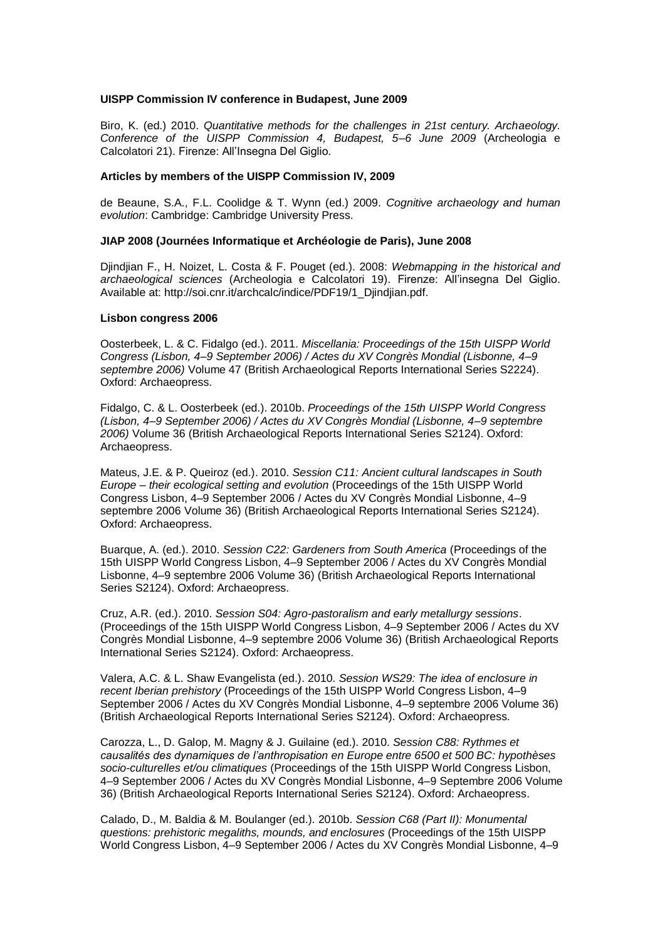## **UISPP Commission IV conference in Budapest, June 2009**

Biro, K. (ed.) 2010. *Quantitative methods for the challenges in 21st century. Archaeology. Conference of the UISPP Commission 4, Budapest, 5–6 June 2009* (Archeologia e Calcolatori 21). Firenze: All'Insegna Del Giglio.

## **Articles by members of the UISPP Commission IV, 2009**

de Beaune, S.A., F.L. Coolidge & T. Wynn (ed.) 2009. *Cognitive archaeology and human evolution*: Cambridge: Cambridge University Press.

## **JIAP 2008 (Journées Informatique et Archéologie de Paris), June 2008**

Djindjian F., H. Noizet, L. Costa & F. Pouget (ed.). 2008: *Webmapping in the historical and archaeological sciences* (Archeologia e Calcolatori 19). Firenze: All'insegna Del Giglio. Available at: http://soi.cnr.it/archcalc/indice/PDF19/1\_Djindjian.pdf.

## **Lisbon congress 2006**

Oosterbeek, L. & C. Fidalgo (ed.). 2011. *Miscellania: Proceedings of the 15th UISPP World Congress (Lisbon, 4–9 September 2006) / Actes du XV Congrès Mondial (Lisbonne, 4–9 septembre 2006)* Volume 47 (British Archaeological Reports International Series S2224). Oxford: Archaeopress.

Fidalgo, C. & L. Oosterbeek (ed.). 2010b. *Proceedings of the 15th UISPP World Congress (Lisbon, 4–9 September 2006) / Actes du XV Congrès Mondial (Lisbonne, 4–9 septembre 2006)* Volume 36 (British Archaeological Reports International Series S2124). Oxford: Archaeopress.

Mateus, J.E. & P. Queiroz (ed.). 2010. *Session C11: Ancient cultural landscapes in South Europe – their ecological setting and evolution* (Proceedings of the 15th UISPP World Congress Lisbon, 4–9 September 2006 / Actes du XV Congrès Mondial Lisbonne, 4–9 septembre 2006 Volume 36) (British Archaeological Reports International Series S2124). Oxford: Archaeopress.

Buarque, A. (ed.). 2010. *Session C22: Gardeners from South America* (Proceedings of the 15th UISPP World Congress Lisbon, 4–9 September 2006 / Actes du XV Congrès Mondial Lisbonne, 4–9 septembre 2006 Volume 36) (British Archaeological Reports International Series S2124). Oxford: Archaeopress.

Cruz, A.R. (ed.). 2010. *Session S04: Agro-pastoralism and early metallurgy sessions*. (Proceedings of the 15th UISPP World Congress Lisbon, 4–9 September 2006 / Actes du XV Congrès Mondial Lisbonne, 4–9 septembre 2006 Volume 36) (British Archaeological Reports International Series S2124). Oxford: Archaeopress.

Valera, A.C. & L. Shaw Evangelista (ed.). 2010. *Session WS29: The idea of enclosure in recent Iberian prehistory* (Proceedings of the 15th UISPP World Congress Lisbon, 4–9 September 2006 / Actes du XV Congrès Mondial Lisbonne, 4–9 septembre 2006 Volume 36) (British Archaeological Reports International Series S2124). Oxford: Archaeopress.

Carozza, L., D. Galop, M. Magny & J. Guilaine (ed.). 2010. *Session C88: Rythmes et causalités des dynamiques de l'anthropisation en Europe entre 6500 et 500 BC: hypothèses socio-culturelles et/ou climatiques* (Proceedings of the 15th UISPP World Congress Lisbon, 4–9 September 2006 / Actes du XV Congrès Mondial Lisbonne, 4–9 Septembre 2006 Volume 36) (British Archaeological Reports International Series S2124). Oxford: Archaeopress.

Calado, D., M. Baldia & M. Boulanger (ed.)*.* 2010b. *Session C68 (Part II): Monumental questions: prehistoric megaliths, mounds, and enclosures* (Proceedings of the 15th UISPP World Congress Lisbon, 4–9 September 2006 / Actes du XV Congrès Mondial Lisbonne, 4–9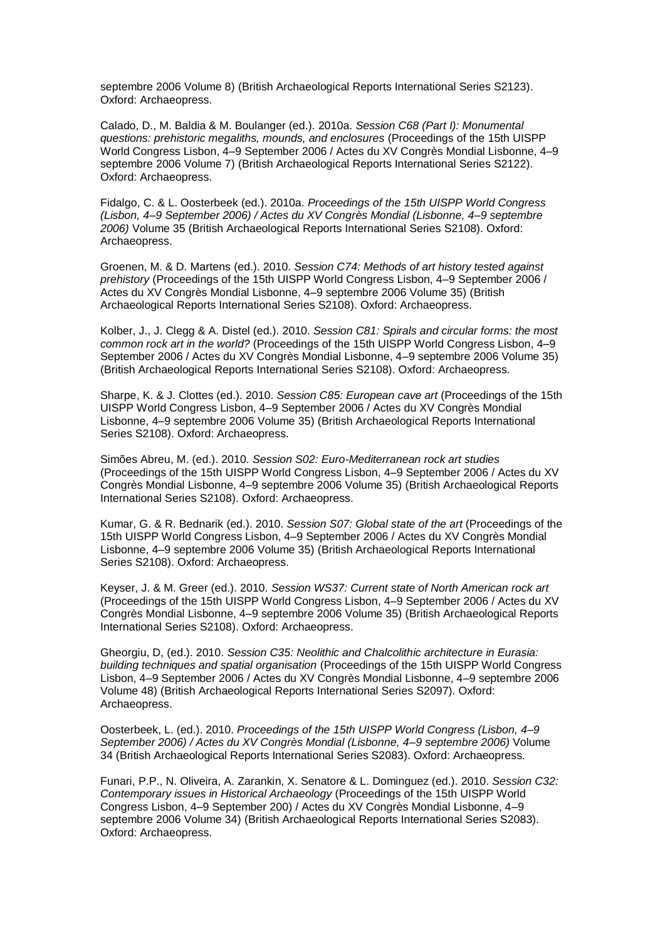septembre 2006 Volume 8) (British Archaeological Reports International Series S2123). Oxford: Archaeopress.

Calado, D., M. Baldia & M. Boulanger (ed.)*.* 2010a. *Session C68 (Part I): Monumental questions: prehistoric megaliths, mounds, and enclosures* (Proceedings of the 15th UISPP World Congress Lisbon, 4–9 September 2006 / Actes du XV Congrès Mondial Lisbonne, 4–9 septembre 2006 Volume 7) (British Archaeological Reports International Series S2122). Oxford: Archaeopress.

Fidalgo, C. & L. Oosterbeek (ed.). 2010a. *Proceedings of the 15th UISPP World Congress (Lisbon, 4–9 September 2006) / Actes du XV Congrès Mondial (Lisbonne, 4–9 septembre 2006)* Volume 35 (British Archaeological Reports International Series S2108). Oxford: Archaeopress.

Groenen, M. & D. Martens (ed.). 2010. *Session C74: Methods of art history tested against prehistory* (Proceedings of the 15th UISPP World Congress Lisbon, 4–9 September 2006 / Actes du XV Congrès Mondial Lisbonne, 4–9 septembre 2006 Volume 35) (British Archaeological Reports International Series S2108). Oxford: Archaeopress.

Kolber, J., J. Clegg & A. Distel (ed.). 2010. *Session C81: Spirals and circular forms: the most common rock art in the world?* (Proceedings of the 15th UISPP World Congress Lisbon, 4–9 September 2006 / Actes du XV Congrès Mondial Lisbonne, 4–9 septembre 2006 Volume 35) (British Archaeological Reports International Series S2108). Oxford: Archaeopress.

Sharpe, K. & J. Clottes (ed.). 2010. *Session C85: European cave art* (Proceedings of the 15th UISPP World Congress Lisbon, 4–9 September 2006 / Actes du XV Congrès Mondial Lisbonne, 4–9 septembre 2006 Volume 35) (British Archaeological Reports International Series S2108). Oxford: Archaeopress.

Simões Abreu, M. (ed.). 2010. *Session S02: Euro-Mediterranean rock art studies* (Proceedings of the 15th UISPP World Congress Lisbon, 4–9 September 2006 / Actes du XV Congrès Mondial Lisbonne, 4–9 septembre 2006 Volume 35) (British Archaeological Reports International Series S2108). Oxford: Archaeopress.

Kumar, G. & R. Bednarik (ed.). 2010. *Session S07: Global state of the art* (Proceedings of the 15th UISPP World Congress Lisbon, 4–9 September 2006 / Actes du XV Congrès Mondial Lisbonne, 4–9 septembre 2006 Volume 35) (British Archaeological Reports International Series S2108). Oxford: Archaeopress.

Keyser, J. & M. Greer (ed.). 2010. *Session WS37: Current state of North American rock art* (Proceedings of the 15th UISPP World Congress Lisbon, 4–9 September 2006 / Actes du XV Congrès Mondial Lisbonne, 4–9 septembre 2006 Volume 35) (British Archaeological Reports International Series S2108). Oxford: Archaeopress.

Gheorgiu, D, (ed.). 2010. *Session C35: Neolithic and Chalcolithic architecture in Eurasia: building techniques and spatial organisation* (Proceedings of the 15th UISPP World Congress Lisbon, 4–9 September 2006 / Actes du XV Congrès Mondial Lisbonne, 4–9 septembre 2006 Volume 48) (British Archaeological Reports International Series S2097). Oxford: Archaeopress.

Oosterbeek, L. (ed.). 2010. *Proceedings of the 15th UISPP World Congress (Lisbon, 4–9 September 2006) / Actes du XV Congrès Mondial (Lisbonne, 4–9 septembre 2006)* Volume 34 (British Archaeological Reports International Series S2083). Oxford: Archaeopress.

Funari, P.P., N. Oliveira, A. Zarankin, X. Senatore & L. Dominguez (ed.). 2010. *Session C32: Contemporary issues in Historical Archaeology* (Proceedings of the 15th UISPP World Congress Lisbon, 4–9 September 200) / Actes du XV Congrès Mondial Lisbonne, 4–9 septembre 2006 Volume 34) (British Archaeological Reports International Series S2083). Oxford: Archaeopress.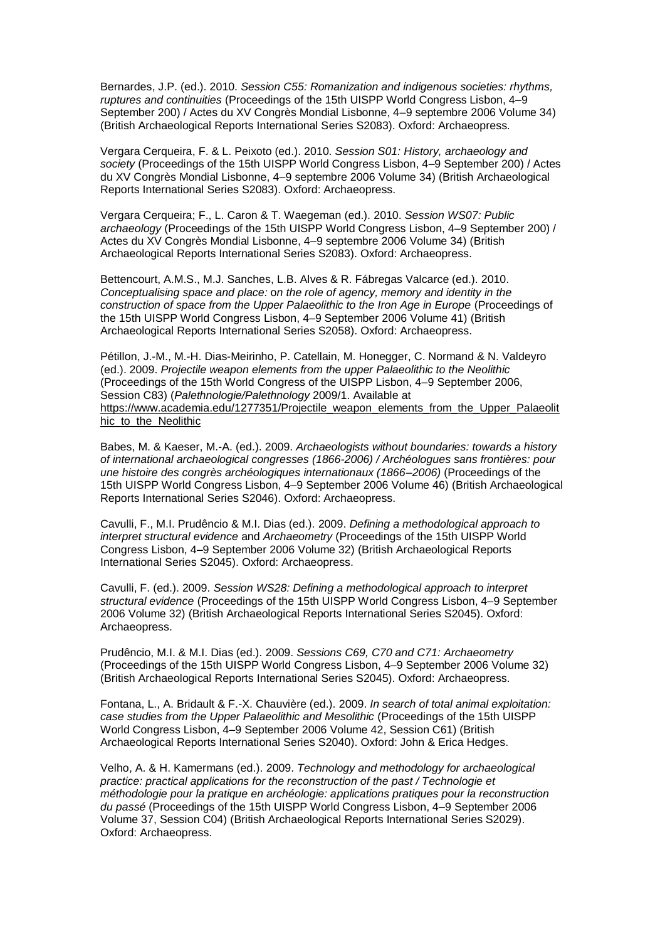Bernardes, J.P. (ed.). 2010. *Session C55: Romanization and indigenous societies: rhythms, ruptures and continuities* (Proceedings of the 15th UISPP World Congress Lisbon, 4–9 September 200) / Actes du XV Congrès Mondial Lisbonne, 4–9 septembre 2006 Volume 34) (British Archaeological Reports International Series S2083). Oxford: Archaeopress.

Vergara Cerqueira, F. & L. Peixoto (ed.). 2010. *Session S01: History, archaeology and society* (Proceedings of the 15th UISPP World Congress Lisbon, 4–9 September 200) / Actes du XV Congrès Mondial Lisbonne, 4–9 septembre 2006 Volume 34) (British Archaeological Reports International Series S2083). Oxford: Archaeopress.

Vergara Cerqueira; F., L. Caron & T. Waegeman (ed.). 2010. *Session WS07: Public archaeology* (Proceedings of the 15th UISPP World Congress Lisbon, 4–9 September 200) / Actes du XV Congrès Mondial Lisbonne, 4–9 septembre 2006 Volume 34) (British Archaeological Reports International Series S2083). Oxford: Archaeopress.

Bettencourt, A.M.S., M.J. Sanches, L.B. Alves & R. Fábregas Valcarce (ed.). 2010. *Conceptualising space and place:* o*n the role of agency, memory and identity in the construction of space from the Upper Palaeolithic to the Iron Age in Europe (Proceedings of* the 15th UISPP World Congress Lisbon, 4–9 September 2006 Volume 41) (British Archaeological Reports International Series S2058). Oxford: Archaeopress.

Pétillon, J.-M., M.-H. Dias-Meirinho, P. Catellain, M. Honegger, C. Normand & N. Valdeyro (ed.). 2009. *Projectile weapon elements from the upper Palaeolithic to the Neolithic*  (Proceedings of the 15th World Congress of the UISPP Lisbon, 4–9 September 2006, Session C83) (*Palethnologie/Palethnology* 2009/1. Available at [https://www.academia.edu/1277351/Projectile\\_weapon\\_elements\\_from\\_the\\_Upper\\_Palaeolit](https://www.academia.edu/1277351/Projectile_weapon_elements_from_the_Upper_Palaeolithic_to_the_Neolithic)\_ [hic\\_to\\_the\\_Neolithic](https://www.academia.edu/1277351/Projectile_weapon_elements_from_the_Upper_Palaeolithic_to_the_Neolithic)

Babes, M. & Kaeser, M.-A. (ed.). 2009. *Archaeologists without boundaries: towards a history of international archaeological congresses (1866-2006) / Archéologues sans frontières: pour une histoire des congrès archéologiques internationaux (1866–2006)* (Proceedings of the 15th UISPP World Congress Lisbon, 4–9 September 2006 Volume 46) (British Archaeological Reports International Series S2046). Oxford: Archaeopress.

Cavulli, F., M.I. Prudêncio & M.I. Dias (ed.). 2009. *Defining a methodological approach to interpret structural evidence* and *Archaeometry* (Proceedings of the 15th UISPP World Congress Lisbon, 4–9 September 2006 Volume 32) (British Archaeological Reports International Series S2045). Oxford: Archaeopress.

Cavulli, F. (ed.). 2009. *Session WS28: Defining a methodological approach to interpret structural evidence* (Proceedings of the 15th UISPP World Congress Lisbon, 4–9 September 2006 Volume 32) (British Archaeological Reports International Series S2045). Oxford: Archaeopress.

Prudêncio, M.I. & M.I. Dias (ed.). 2009. *Sessions C69, C70 and C71: Archaeometry* (Proceedings of the 15th UISPP World Congress Lisbon, 4–9 September 2006 Volume 32) (British Archaeological Reports International Series S2045). Oxford: Archaeopress.

Fontana, L., A. Bridault & F.-X. Chauvière (ed.). 2009. *In search of total animal exploitation: case studies from the Upper Palaeolithic and Mesolithic* (Proceedings of the 15th UISPP World Congress Lisbon, 4–9 September 2006 Volume 42, Session C61) (British Archaeological Reports International Series S2040). Oxford: John & Erica Hedges.

Velho, A. & H. Kamermans (ed.). 2009. *Technology and methodology for archaeological practice: practical applications for the reconstruction of the past / Technologie et méthodologie pour la pratique en archéologie: applications pratiques pour la reconstruction du passé* (Proceedings of the 15th UISPP World Congress Lisbon, 4–9 September 2006 Volume 37, Session C04) (British Archaeological Reports International Series S2029). Oxford: Archaeopress.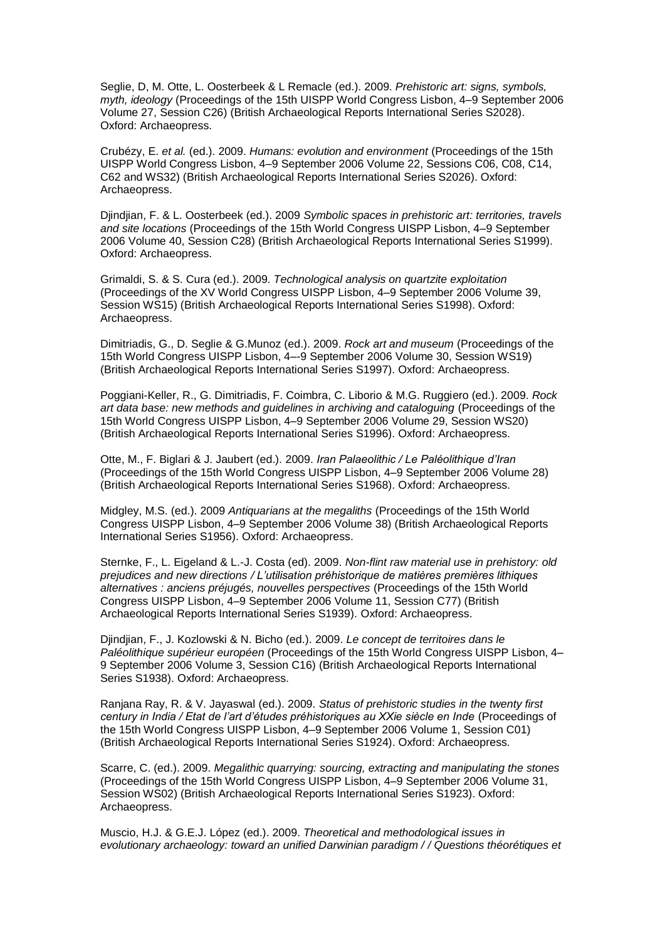Seglie, D, M. Otte, L. Oosterbeek & L Remacle (ed.). 2009. *Prehistoric art: signs, symbols, myth, ideology* (Proceedings of the 15th UISPP World Congress Lisbon, 4–9 September 2006 Volume 27, Session C26) (British Archaeological Reports International Series S2028). Oxford: Archaeopress.

Crubézy, E. *et al.* (ed.). 2009. *Humans: evolution and environment* (Proceedings of the 15th UISPP World Congress Lisbon, 4–9 September 2006 Volume 22, Sessions C06, C08, C14, C62 and WS32) (British Archaeological Reports International Series S2026). Oxford: Archaeopress.

Djindjian, F. & L. Oosterbeek (ed.). 2009 *Symbolic spaces in prehistoric art: territories, travels and site locations* (Proceedings of the 15th World Congress UISPP Lisbon, 4–9 September 2006 Volume 40, Session C28) (British Archaeological Reports International Series S1999). Oxford: Archaeopress.

Grimaldi, S. & S. Cura (ed.). 2009. *Technological analysis on quartzite exploitation* (Proceedings of the XV World Congress UISPP Lisbon, 4–9 September 2006 Volume 39, Session WS15) (British Archaeological Reports International Series S1998). Oxford: Archaeopress.

Dimitriadis, G., D. Seglie & G.Munoz (ed.). 2009. *Rock art and museum* (Proceedings of the 15th World Congress UISPP Lisbon, 4–-9 September 2006 Volume 30, Session WS19) (British Archaeological Reports International Series S1997). Oxford: Archaeopress.

Poggiani-Keller, R., G. Dimitriadis, F. Coimbra, C. Liborio & M.G. Ruggiero (ed.). 2009. *Rock art data base: new methods and guidelines in archiving and cataloguing* (Proceedings of the 15th World Congress UISPP Lisbon, 4–9 September 2006 Volume 29, Session WS20) (British Archaeological Reports International Series S1996). Oxford: Archaeopress.

Otte, M., F. Biglari & J. Jaubert (ed.). 2009. *Iran Palaeolithic / Le Paléolithique d'Iran*  (Proceedings of the 15th World Congress UISPP Lisbon, 4–9 September 2006 Volume 28) (British Archaeological Reports International Series S1968). Oxford: Archaeopress.

Midgley, M.S. (ed.). 2009 *Antiquarians at the megaliths* (Proceedings of the 15th World Congress UISPP Lisbon, 4–9 September 2006 Volume 38) (British Archaeological Reports International Series S1956). Oxford: Archaeopress.

Sternke, F., L. Eigeland & L.-J. Costa (ed). 2009. *Non-flint raw material use in prehistory: old prejudices and new directions / L'utilisation préhistorique de matières premières lithiques alternatives : anciens préjugés, nouvelles perspectives* (Proceedings of the 15th World Congress UISPP Lisbon, 4–9 September 2006 Volume 11, Session C77) (British Archaeological Reports International Series S1939). Oxford: Archaeopress.

Djindjian, F., J. Kozlowski & N. Bicho (ed.). 2009. *Le concept de territoires dans le Paléolithique supérieur européen* (Proceedings of the 15th World Congress UISPP Lisbon, 4– 9 September 2006 Volume 3, Session C16) (British Archaeological Reports International Series S1938). Oxford: Archaeopress.

Ranjana Ray, R. & V. Jayaswal (ed.). 2009. *Status of prehistoric studies in the twenty first century in India / Etat de l'art d'études préhistoriques au XXie siècle en Inde* (Proceedings of the 15th World Congress UISPP Lisbon, 4–9 September 2006 Volume 1, Session C01) (British Archaeological Reports International Series S1924). Oxford: Archaeopress.

Scarre, C. (ed.). 2009. *Megalithic quarrying: sourcing, extracting and manipulating the stones*  (Proceedings of the 15th World Congress UISPP Lisbon, 4–9 September 2006 Volume 31, Session WS02) (British Archaeological Reports International Series S1923). Oxford: Archaeopress.

Muscio, H.J. & G.E.J. López (ed.). 2009. *Theoretical and methodological issues in evolutionary archaeology: toward an unified Darwinian paradigm / / Questions théorétiques et*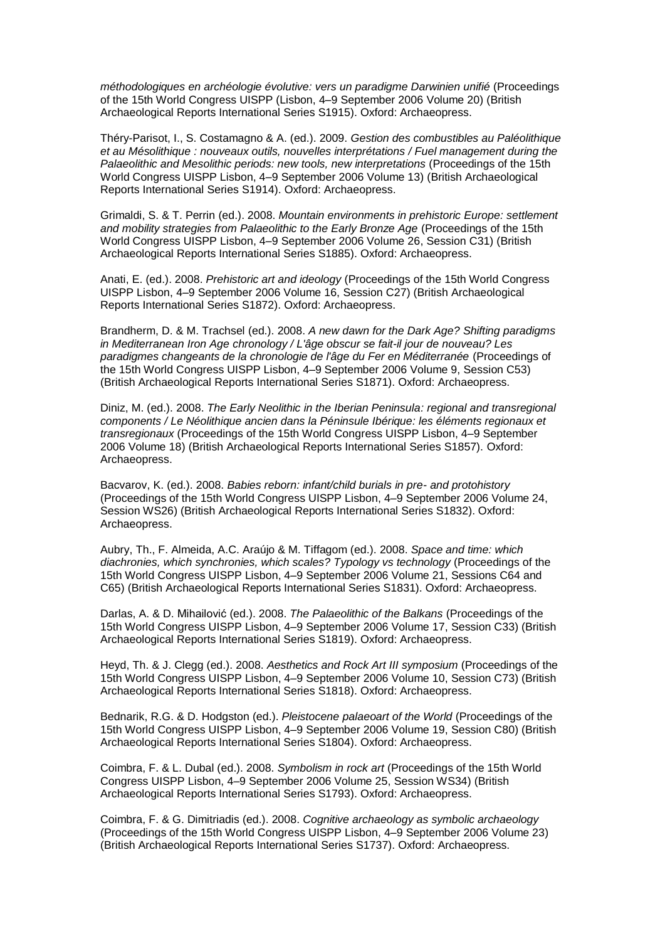*méthodologiques en archéologie évolutive: vers un paradigme Darwinien unifié* (Proceedings of the 15th World Congress UISPP (Lisbon, 4–9 September 2006 Volume 20) (British Archaeological Reports International Series S1915). Oxford: Archaeopress.

Théry-Parisot, I., S. Costamagno & A. (ed.). 2009. *Gestion des combustibles au Paléolithique et au Mésolithique : nouveaux outils, nouvelles interprétations / Fuel management during the Palaeolithic and Mesolithic periods: new tools, new interpretations* (Proceedings of the 15th World Congress UISPP Lisbon, 4–9 September 2006 Volume 13) (British Archaeological Reports International Series S1914). Oxford: Archaeopress.

Grimaldi, S. & T. Perrin (ed.). 2008. *Mountain environments in prehistoric Europe: settlement and mobility strategies from Palaeolithic to the Early Bronze Age* (Proceedings of the 15th World Congress UISPP Lisbon, 4–9 September 2006 Volume 26, Session C31) (British Archaeological Reports International Series S1885). Oxford: Archaeopress.

Anati, E. (ed.). 2008. *Prehistoric art and ideology* (Proceedings of the 15th World Congress UISPP Lisbon, 4–9 September 2006 Volume 16, Session C27) (British Archaeological Reports International Series S1872). Oxford: Archaeopress.

Brandherm, D. & M. Trachsel (ed.). 2008. *A new dawn for the Dark Age? Shifting paradigms in Mediterranean Iron Age chronology / L'âge obscur se fait-il jour de nouveau? Les paradigmes changeants de la chronologie de l'âge du Fer en Méditerranée* (Proceedings of the 15th World Congress UISPP Lisbon, 4–9 September 2006 Volume 9, Session C53) (British Archaeological Reports International Series S1871). Oxford: Archaeopress.

Diniz, M. (ed.). 2008. *The Early Neolithic in the Iberian Peninsula: regional and transregional components / Le Néolithique ancien dans la Péninsule Ibérique: les éléments regionaux et transregionaux* (Proceedings of the 15th World Congress UISPP Lisbon, 4–9 September 2006 Volume 18) (British Archaeological Reports International Series S1857). Oxford: Archaeopress.

Bacvarov, K. (ed.). 2008. *Babies reborn: infant/child burials in pre- and protohistory*  (Proceedings of the 15th World Congress UISPP Lisbon, 4–9 September 2006 Volume 24, Session WS26) (British Archaeological Reports International Series S1832). Oxford: Archaeopress.

Aubry, Th., F. Almeida, A.C. Araújo & M. Tiffagom (ed.). 2008. *Space and time: which diachronies, which synchronies, which scales? Typology vs technology* (Proceedings of the 15th World Congress UISPP Lisbon, 4–9 September 2006 Volume 21, Sessions C64 and C65) (British Archaeological Reports International Series S1831). Oxford: Archaeopress.

Darlas, A. & D. Mihailović (ed.). 2008. *The Palaeolithic of the Balkans* (Proceedings of the 15th World Congress UISPP Lisbon, 4–9 September 2006 Volume 17, Session C33) (British Archaeological Reports International Series S1819). Oxford: Archaeopress.

Heyd, Th. & J. Clegg (ed.). 2008. *Aesthetics and Rock Art III symposium* (Proceedings of the 15th World Congress UISPP Lisbon, 4–9 September 2006 Volume 10, Session C73) (British Archaeological Reports International Series S1818). Oxford: Archaeopress.

Bednarik, R.G. & D. Hodgston (ed.). *Pleistocene palaeoart of the World* (Proceedings of the 15th World Congress UISPP Lisbon, 4–9 September 2006 Volume 19, Session C80) (British Archaeological Reports International Series S1804). Oxford: Archaeopress.

Coimbra, F. & L. Dubal (ed.). 2008. *Symbolism in rock art* (Proceedings of the 15th World Congress UISPP Lisbon, 4–9 September 2006 Volume 25, Session WS34) (British Archaeological Reports International Series S1793). Oxford: Archaeopress.

Coimbra, F. & G. Dimitriadis (ed.). 2008. *Cognitive archaeology as symbolic archaeology*  (Proceedings of the 15th World Congress UISPP Lisbon, 4–9 September 2006 Volume 23) (British Archaeological Reports International Series S1737). Oxford: Archaeopress.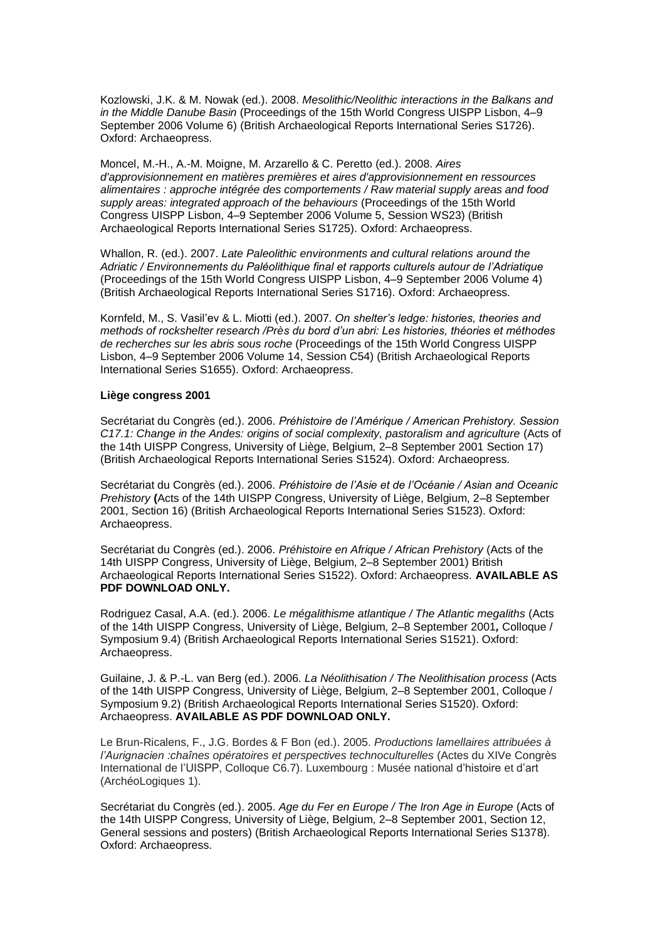Kozlowski, J.K. & M. Nowak (ed.). 2008. *Mesolithic/Neolithic interactions in the Balkans and in the Middle Danube Basin* (Proceedings of the 15th World Congress UISPP Lisbon, 4–9 September 2006 Volume 6) (British Archaeological Reports International Series S1726). Oxford: Archaeopress.

Moncel, M.-H., A.-M. Moigne, M. Arzarello & C. Peretto (ed.). 2008. *Aires d'approvisionnement en matières premières et aires d'approvisionnement en ressources alimentaires : approche intégrée des comportements / Raw material supply areas and food supply areas: integrated approach of the behaviours* (Proceedings of the 15th World Congress UISPP Lisbon, 4–9 September 2006 Volume 5, Session WS23) (British Archaeological Reports International Series S1725). Oxford: Archaeopress.

Whallon, R. (ed.). 2007. *Late Paleolithic environments and cultural relations around the Adriatic / Environnements du Paléolithique final et rapports culturels autour de l'Adriatique* (Proceedings of the 15th World Congress UISPP Lisbon, 4–9 September 2006 Volume 4) (British Archaeological Reports International Series S1716). Oxford: Archaeopress.

Kornfeld, M., S. Vasil'ev & L. Miotti (ed.). 2007. *On shelter's ledge: histories, theories and methods of rockshelter research /Près du bord d'un abri: Les histories, théories et méthodes de recherches sur les abris sous roche* (Proceedings of the 15th World Congress UISPP Lisbon, 4–9 September 2006 Volume 14, Session C54) (British Archaeological Reports International Series S1655). Oxford: Archaeopress.

## **Liège congress 2001**

Secrétariat du Congrès (ed.). 2006. *Préhistoire de l'Amérique / American Prehistory. Session C17.1: Change in the Andes: origins of social complexity, pastoralism and agriculture* (Acts of the 14th UISPP Congress, University of Liège, Belgium, 2–8 September 2001 Section 17) (British Archaeological Reports International Series S1524). Oxford: Archaeopress.

Secrétariat du Congrès (ed.). 2006. *Préhistoire de l'Asie et de l'Océanie / Asian and Oceanic Prehistory* **(**Acts of the 14th UISPP Congress, University of Liège, Belgium, 2–8 September 2001, Section 16) (British Archaeological Reports International Series S1523). Oxford: Archaeopress.

Secrétariat du Congrès (ed.). 2006. *Préhistoire en Afrique / African Prehistory* (Acts of the 14th UISPP Congress, University of Liège, Belgium, 2–8 September 2001) British Archaeological Reports International Series S1522). Oxford: Archaeopress. **AVAILABLE AS PDF DOWNLOAD ONLY.**

Rodriguez Casal, A.A. (ed.). 2006. *Le mégalithisme atlantique / The Atlantic megaliths* (Acts of the 14th UISPP Congress, University of Liège, Belgium, 2–8 September 2001*,* Colloque / Symposium 9.4) (British Archaeological Reports International Series S1521). Oxford: Archaeopress.

Guilaine, J. & P.-L. van Berg (ed.). 2006. *La Néolithisation / The Neolithisation process* (Acts of the 14th UISPP Congress, University of Liège, Belgium, 2–8 September 2001, Colloque / Symposium 9.2) (British Archaeological Reports International Series S1520). Oxford: Archaeopress. **AVAILABLE AS PDF DOWNLOAD ONLY.**

Le Brun-Ricalens, F., J.G. Bordes & F Bon (ed.). 2005. *Productions lamellaires attribuées à l'Aurignacien :chaînes opératoires et perspectives technoculturelles* (Actes du XIVe Congrès International de l'UISPP, Colloque C6.7). Luxembourg : Musée national d'histoire et d'art (ArchéoLogiques 1).

Secrétariat du Congrès (ed.). 2005. *Age du Fer en Europe / The Iron Age in Europe* (Acts of the 14th UISPP Congress, University of Liège, Belgium, 2–8 September 2001, Section 12, General sessions and posters) (British Archaeological Reports International Series S1378). Oxford: Archaeopress.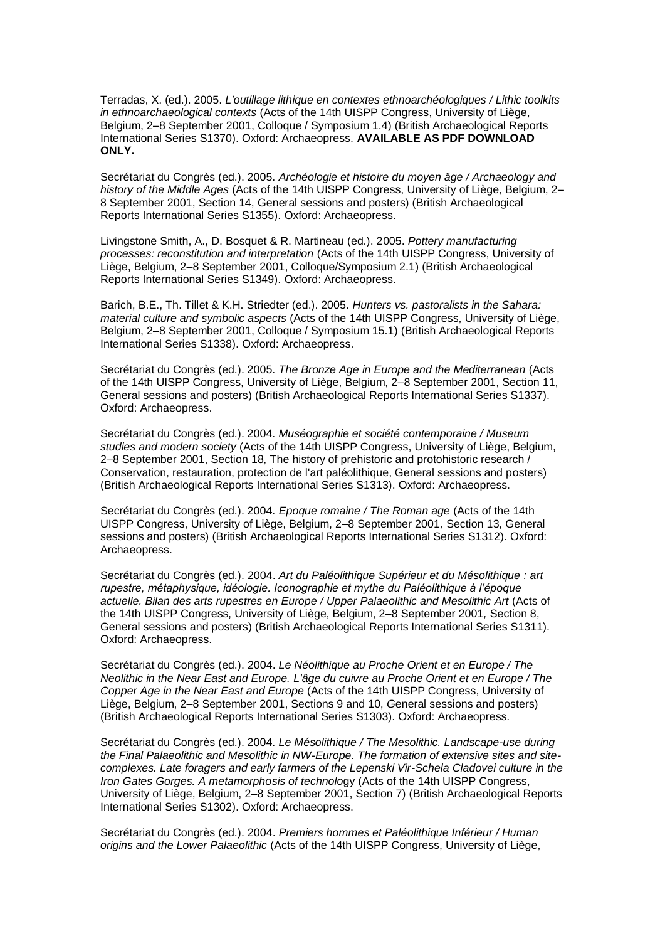Terradas, X. (ed.). 2005. *L'outillage lithique en contextes ethnoarchéologiques / Lithic toolkits in ethnoarchaeological contexts* (Acts of the 14th UISPP Congress, University of Liège, Belgium, 2–8 September 2001, Colloque / Symposium 1.4) (British Archaeological Reports International Series S1370). Oxford: Archaeopress. **AVAILABLE AS PDF DOWNLOAD ONLY.**

Secrétariat du Congrès (ed.). 2005. *Archéologie et histoire du moyen âge / Archaeology and history of the Middle Ages* (Acts of the 14th UISPP Congress, University of Liège, Belgium, 2– 8 September 2001, Section 14, General sessions and posters) (British Archaeological Reports International Series S1355). Oxford: Archaeopress.

Livingstone Smith, A., D. Bosquet & R. Martineau (ed.). 2005. *Pottery manufacturing processes: reconstitution and interpretation* (Acts of the 14th UISPP Congress, University of Liège, Belgium, 2–8 September 2001, Colloque/Symposium 2.1) (British Archaeological Reports International Series S1349). Oxford: Archaeopress.

Barich, B.E., Th. Tillet & K.H. Striedter (ed.). 2005. *Hunters vs. pastoralists in the Sahara: material culture and symbolic aspects* (Acts of the 14th UISPP Congress, University of Liège, Belgium, 2–8 September 2001, Colloque / Symposium 15.1) (British Archaeological Reports International Series S1338). Oxford: Archaeopress.

Secrétariat du Congrès (ed.). 2005. *The Bronze Age in Europe and the Mediterranean* (Acts of the 14th UISPP Congress, University of Liège, Belgium, 2–8 September 2001, Section 11, General sessions and posters) (British Archaeological Reports International Series S1337). Oxford: Archaeopress.

Secrétariat du Congrès (ed.). 2004. *Muséographie et société contemporaine / Museum studies and modern society* (Acts of the 14th UISPP Congress, University of Liège, Belgium, 2–8 September 2001, Section 18*,* The history of prehistoric and protohistoric research / Conservation, restauration, protection de l'art paléolithique, General sessions and posters) (British Archaeological Reports International Series S1313). Oxford: Archaeopress.

Secrétariat du Congrès (ed.). 2004. *Epoque romaine / The Roman age* (Acts of the 14th UISPP Congress, University of Liège, Belgium, 2–8 September 2001*,* Section 13, General sessions and posters) (British Archaeological Reports International Series S1312). Oxford: Archaeopress.

Secrétariat du Congrès (ed.). 2004. *Art du Paléolithique Supérieur et du Mésolithique : art rupestre, métaphysique, idéologie. Iconographie et mythe du Paléolithique à l'époque actuelle. Bilan des arts rupestres en Europe / Upper Palaeolithic and Mesolithic Art* (Acts of the 14th UISPP Congress, University of Liège, Belgium, 2–8 September 2001*,* Section 8, General sessions and posters) (British Archaeological Reports International Series S1311). Oxford: Archaeopress.

Secrétariat du Congrès (ed.). 2004. *Le Néolithique au Proche Orient et en Europe / The Neolithic in the Near East and Europe. L'âge du cuivre au Proche Orient et en Europe / The Copper Age in the Near East and Europe* (Acts of the 14th UISPP Congress, University of Liège, Belgium, 2–8 September 2001, Sections 9 and 10, *G*eneral sessions and posters) (British Archaeological Reports International Series S1303). Oxford: Archaeopress.

Secrétariat du Congrès (ed.). 2004. *Le Mésolithique / The Mesolithic. Landscape-use during the Final Palaeolithic and Mesolithic in NW-Europe. The formation of extensive sites and sitecomplexes. Late foragers and early farmers of the Lepenski Vir-Schela Cladovei culture in the Iron Gates Gorges. A metamorphosis of technolo*gy (Acts of the 14th UISPP Congress, University of Liège, Belgium, 2–8 September 2001, Section 7) (British Archaeological Reports International Series S1302). Oxford: Archaeopress.

Secrétariat du Congrès (ed.). 2004. *Premiers hommes et Paléolithique Inférieur / Human origins and the Lower Palaeolithic* (Acts of the 14th UISPP Congress, University of Liège,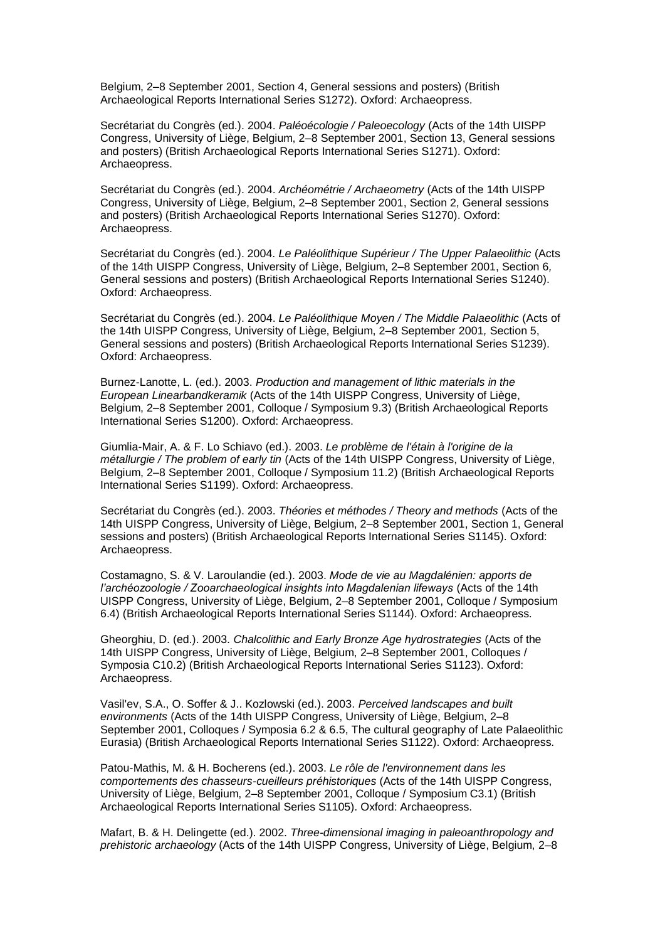Belgium, 2–8 September 2001, Section 4, General sessions and posters) (British Archaeological Reports International Series S1272). Oxford: Archaeopress.

Secrétariat du Congrès (ed.). 2004. *Paléoécologie / Paleoecology* (Acts of the 14th UISPP Congress, University of Liège, Belgium, 2–8 September 2001, Section 13, General sessions and posters) (British Archaeological Reports International Series S1271). Oxford: Archaeopress.

Secrétariat du Congrès (ed.). 2004. *Archéométrie / Archaeometry* (Acts of the 14th UISPP Congress, University of Liège, Belgium, 2–8 September 2001, Section 2, General sessions and posters) (British Archaeological Reports International Series S1270). Oxford: Archaeopress.

Secrétariat du Congrès (ed.). 2004. *Le Paléolithique Supérieur / The Upper Palaeolithic* (Acts of the 14th UISPP Congress, University of Liège, Belgium, 2–8 September 2001, Section 6*,*  General sessions and posters) (British Archaeological Reports International Series S1240). Oxford: Archaeopress.

Secrétariat du Congrès (ed.). 2004. *Le Paléolithique Moyen / The Middle Palaeolithic* (Acts of the 14th UISPP Congress, University of Liège, Belgium, 2–8 September 2001*,* Section 5, General sessions and posters) (British Archaeological Reports International Series S1239). Oxford: Archaeopress.

Burnez-Lanotte, L. (ed.). 2003. *Production and management of lithic materials in the European Linearbandkeramik* (Acts of the 14th UISPP Congress, University of Liège, Belgium, 2–8 September 2001, Colloque / Symposium 9.3) (British Archaeological Reports International Series S1200). Oxford: Archaeopress.

Giumlia-Mair, A. & F. Lo Schiavo (ed.). 2003. *Le problème de l'étain à l'origine de la métallurgie / The problem of early tin* (Acts of the 14th UISPP Congress, University of Liège, Belgium, 2–8 September 2001, Colloque / Symposium 11.2) (British Archaeological Reports International Series S1199). Oxford: Archaeopress.

Secrétariat du Congrès (ed.). 2003. *Théories et méthodes / Theory and methods* (Acts of the 14th UISPP Congress, University of Liège, Belgium, 2–8 September 2001, Section 1, General sessions and posters) (British Archaeological Reports International Series S1145). Oxford: Archaeopress.

Costamagno, S. & V. Laroulandie (ed.). 2003. *Mode de vie au Magdalénien: apports de l'archéozoologie / Zooarchaeological insights into Magdalenian lifeways* (Acts of the 14th UISPP Congress, University of Liège, Belgium, 2–8 September 2001, Colloque / Symposium 6.4) (British Archaeological Reports International Series S1144). Oxford: Archaeopress.

Gheorghiu, D. (ed.). 2003. *Chalcolithic and Early Bronze Age hydrostrategies* (Acts of the 14th UISPP Congress, University of Liège, Belgium, 2–8 September 2001, Colloques / Symposia C10.2) (British Archaeological Reports International Series S1123). Oxford: Archaeopress.

Vasil'ev, S.A., O. Soffer & J.. Kozlowski (ed.). 2003. *Perceived landscapes and built environments* (Acts of the 14th UISPP Congress, University of Liège, Belgium, 2–8 September 2001, Colloques / Symposia 6.2 & 6.5, The cultural geography of Late Palaeolithic Eurasia) (British Archaeological Reports International Series S1122). Oxford: Archaeopress.

Patou-Mathis, M. & H. Bocherens (ed.). 2003. *Le rôle de l'environnement dans les comportements des chasseurs-cueilleurs préhistoriques* (Acts of the 14th UISPP Congress, University of Liège, Belgium, 2–8 September 2001, Colloque / Symposium C3.1) (British Archaeological Reports International Series S1105). Oxford: Archaeopress.

Mafart, B. & H. Delingette (ed.). 2002. *Three-dimensional imaging in paleoanthropology and prehistoric archaeology* (Acts of the 14th UISPP Congress, University of Liège, Belgium, 2–8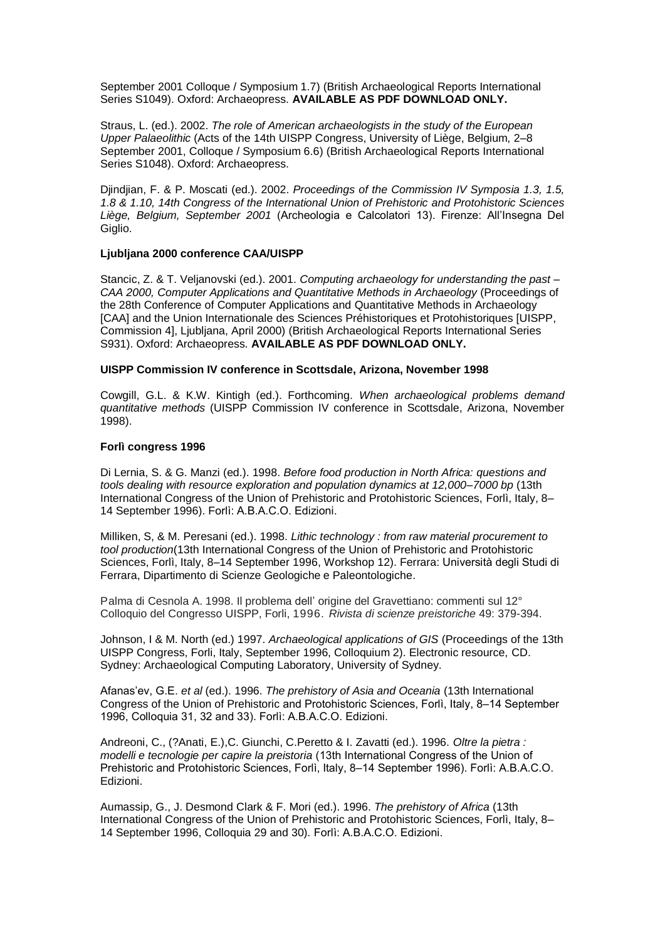September 2001 Colloque / Symposium 1.7) (British Archaeological Reports International Series S1049). Oxford: Archaeopress. AVAILABLE AS PDF DOWNLOAD ONLY.

Straus, L. (ed.). 2002. *The role of American archaeologists in the study of the European Upper Palaeolithic* (Acts of the 14th UISPP Congress, University of Liège, Belgium, 2–8 September 2001, Colloque / Symposium 6.6) (British Archaeological Reports International Series S1048). Oxford: Archaeopress.

Djindjian, F. & P. Moscati (ed.). 2002. *Proceedings of the Commission IV Symposia 1.3, 1.5, 1.8 & 1.10, 14th Congress of the International Union of Prehistoric and Protohistoric Sciences Liège, Belgium, September 2001* (Archeologia e Calcolatori 13). Firenze: All'Insegna Del Giglio.

## **Ljubljana 2000 conference CAA/UISPP**

Stancic, Z. & T. Veljanovski (ed.). 2001. *Computing archaeology for understanding the past – CAA 2000, Computer Applications and Quantitative Methods in Archaeology* (Proceedings of the 28th Conference of Computer Applications and Quantitative Methods in Archaeology [CAA] and the Union Internationale des Sciences Préhistoriques et Protohistoriques [UISPP, Commission 4], Ljubljana, April 2000) (British Archaeological Reports International Series S931). Oxford: Archaeopress. **AVAILABLE AS PDF DOWNLOAD ONLY.**

#### **UISPP Commission IV conference in Scottsdale, Arizona, November 1998**

Cowgill, G.L. & K.W. Kintigh (ed.). Forthcoming. *When archaeological problems demand quantitative methods* (UISPP Commission IV conference in Scottsdale, Arizona, November 1998).

## **Forlì congress 1996**

Di Lernia, S. & G. Manzi (ed.). 1998. *Before food production in North Africa: questions and tools dealing with resource exploration and population dynamics at 12,000–7000 bp* (13th International Congress of the Union of Prehistoric and Protohistoric Sciences, Forlì, Italy, 8– 14 September 1996). Forlì: A.B.A.C.O. Edizioni.

Milliken, S, & M. Peresani (ed.). 1998. *Lithic technology : from raw material procurement to tool production*(13th International Congress of the Union of Prehistoric and Protohistoric Sciences, Forlì, Italy, 8-14 September 1996, Workshop 12). Ferrara: Università degli Studi di Ferrara, Dipartimento di Scienze Geologiche e Paleontologiche.

Palma di Cesnola A. 1998. Il problema dell' origine del Gravettiano: commenti sul 12° Colloquio del Congresso UISPP, Forli, 1996. *Rivista di scienze preistoriche* 49: 379-394.

Johnson, I & M. North (ed.) 1997. *Archaeological applications of GIS* (Proceedings of the 13th UISPP Congress, Forli, Italy, September 1996, Colloquium 2). Electronic resource, CD. Sydney: Archaeological Computing Laboratory, University of Sydney.

Afanas'ev, G.E. et al (ed.). 1996. *The prehistory of Asia and Oceania* (13th International Congress of the Union of Prehistoric and Protohistoric Sciences, Forlì, Italy, 8-14 September 1996, Colloquia 31, 32 and 33). Forlì: A.B.A.C.O. Edizioni.

Andreoni, C., (?Anati, E.),C. Giunchi, C.Peretto & I. Zavatti (ed.). 1996. *Oltre la pietra : modelli e tecnologie per capire la preistoria* (13th International Congress of the Union of Prehistoric and Protohistoric Sciences, Forlì, Italy, 8–14 September 1996). Forlì: A.B.A.C.O. Edizioni.

Aumassip, G., J. Desmond Clark & F. Mori (ed.). 1996. *The prehistory of Africa* (13th International Congress of the Union of Prehistoric and Protohistoric Sciences, Forlì, Italy, 8– 14 September 1996, Colloquia 29 and 30). Forli: A.B.A.C.O. Edizioni.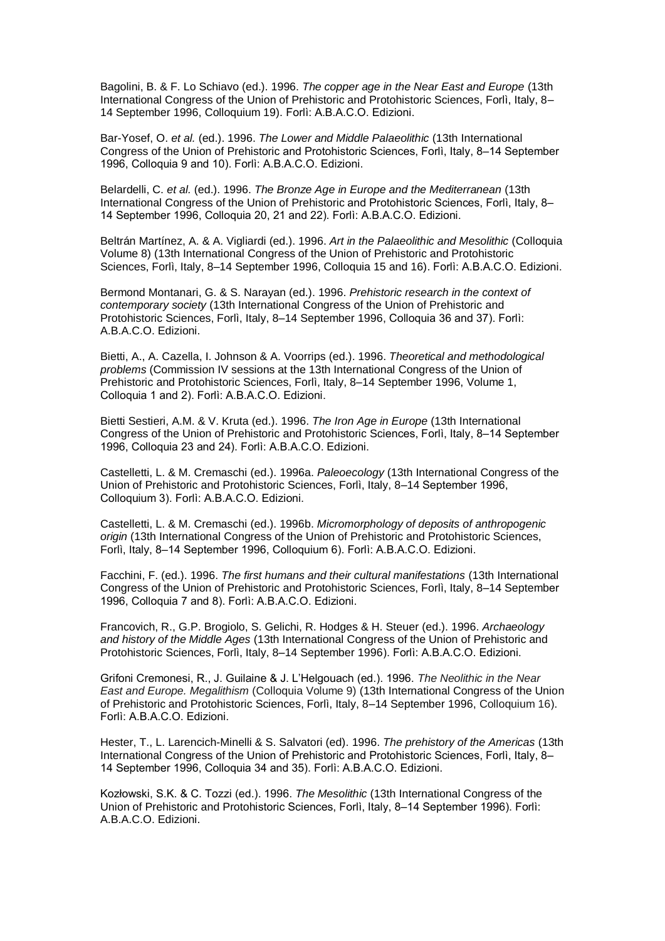Bagolini, B. & F. Lo Schiavo (ed.). 1996. *The copper age in the Near East and Europe* (13th International Congress of the Union of Prehistoric and Protohistoric Sciences, Forlì, Italy, 8– 14 September 1996, Colloquium 19). Forlì: A.B.A.C.O. Edizioni.

Bar-Yosef, O. *et al.* (ed.). 1996. *The Lower and Middle Palaeolithic* (13th International Congress of the Union of Prehistoric and Protohistoric Sciences, Forlì, Italy, 8-14 September 1996, Colloquia 9 and 10). Forlì: A.B.A.C.O. Edizioni.

Belardelli, C. *et al.* (ed.). 1996. *The Bronze Age in Europe and the Mediterranean* (13th International Congress of the Union of Prehistoric and Protohistoric Sciences, Forlì, Italy, 8-14 September 1996, Colloquia 20, 21 and 22). Forlì: A.B.A.C.O. Edizioni.

Beltrán [Martínez,](http://classify.oclc.org/classify2/ClassifyDemo?search-author-txt=%22Beltr%C3%A1n+Mart%C3%ADnez%2C+Antonio%2C+1916-%22) A. & A. Vigliardi (ed.). 1996. *Art in the Palaeolithic and Mesolithic* (Colloquia Volume 8) (13th International Congress of the Union of Prehistoric and Protohistoric Sciences, Forlì, Italy, 8–14 September 1996, Colloquia 15 and 16). Forlì: A.B.A.C.O. Edizioni.

Bermond Montanari, G. & S. Narayan (ed.). 1996. *Prehistoric research in the context of contemporary society* (13th International Congress of the Union of Prehistoric and Protohistoric Sciences, Forlì, Italy, 8–14 September 1996, Colloquia 36 and 37). Forlì: A.B.A.C.O. Edizioni.

Bietti, A., A. Cazella, I. Johnson & A. Voorrips (ed.). 1996. *Theoretical and methodological problems* (Commission IV sessions at the 13th International Congress of the Union of Prehistoric and Protohistoric Sciences, Forlì, Italy, 8–14 September 1996, Volume 1, Colloquia 1 and 2). Forlì: A.B.A.C.O. Edizioni.

Bietti Sestieri, A.M. & V. Kruta (ed.). 1996. *The Iron Age in Europe* (13th International Congress of the Union of Prehistoric and Protohistoric Sciences, Forlì, Italy, 8-14 September 1996, Colloquia 23 and 24). Forli: A.B.A.C.O. Edizioni.

Castelletti, L. & M. Cremaschi (ed.). 1996a. *Paleoecology* (13th International Congress of the Union of Prehistoric and Protohistoric Sciences, Forlì, Italy, 8-14 September 1996, Colloquium 3). Forlì: A.B.A.C.O. Edizioni.

Castelletti, L. & M. Cremaschi (ed.). 1996b. *Micromorphology of deposits of anthropogenic origin* (13th International Congress of the Union of Prehistoric and Protohistoric Sciences, Forlì, Italy, 8-14 September 1996, Colloquium 6). Forlì: A.B.A.C.O. Edizioni.

Facchini, F. (ed.). 1996. *The first humans and their cultural manifestations* (13th International Congress of the Union of Prehistoric and Protohistoric Sciences, Forlì, Italy, 8–14 September 1996, Colloquia 7 and 8). Forlì: A.B.A.C.O. Edizioni.

Francovich, R., G.P. Brogiolo, S. Gelichi, R. Hodges & H. Steuer (ed.). 1996. *Archaeology and history of the Middle Ages* (13th International Congress of the Union of Prehistoric and Protohistoric Sciences, Forlì, Italy, 8–14 September 1996). Forlì: A.B.A.C.O. Edizioni.

Grifoni Cremonesi, R., J. Guilaine & J. L'Helgouach (ed.). 1996. The Neolithic in the Near *East and Europe. Megalithism* (Colloquia Volume 9) (13th International Congress of the Union of Prehistoric and Protohistoric Sciences, Forlì, Italy, 8–14 September 1996, Colloquium 16). Forlì: A.B.A.C.O. Edizioni.

Hester, T., L. Larencich-Minelli & S. Salvatori (ed). 1996. *The prehistory of the Americas* (13th International Congress of the Union of Prehistoric and Protohistoric Sciences, Forlì, Italy, 8-14 September 1996, Colloquia 34 and 35). Forlì: A.B.A.C.O. Edizioni.

Kozłowski, S.K. & C. Tozzi (ed.). 1996. The Mesolithic (13th International Congress of the Union of Prehistoric and Protohistoric Sciences, Forlì, Italy, 8–14 September 1996). Forlì: A.B.A.C.O. Edizioni.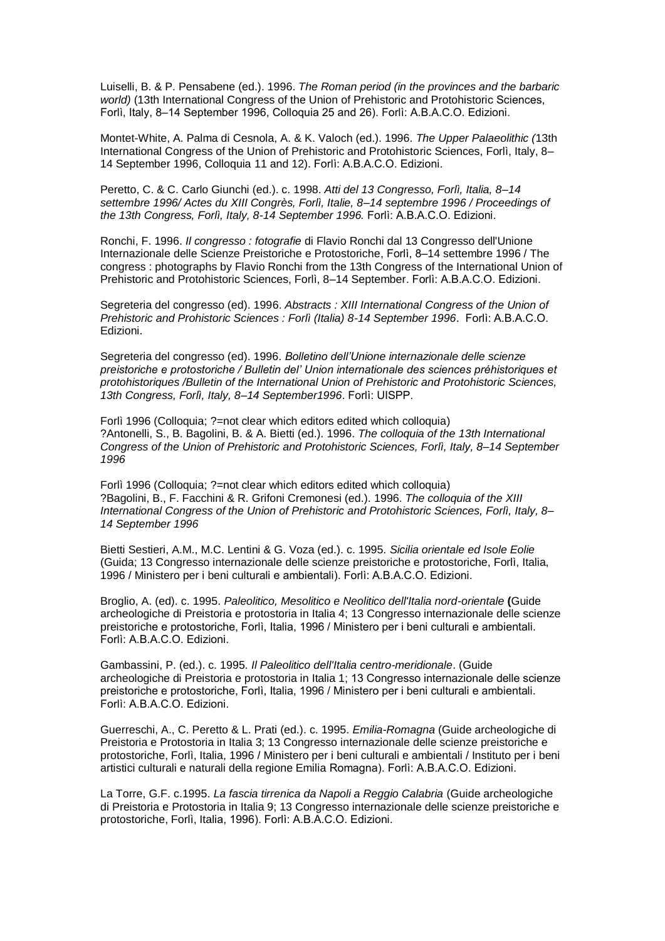Luiselli, B. & P. Pensabene (ed.). 1996. *The Roman period (in the provinces and the barbaric world)* (13th International Congress of the Union of Prehistoric and Protohistoric Sciences, Forlì, Italy, 8–14 September 1996, Colloquia 25 and 26). Forlì: A.B.A.C.O. Edizioni.

Montet-White, A. Palma di Cesnola, A. & K. Valoch (ed.). 1996. *The Upper Palaeolithic (*13th International Congress of the Union of Prehistoric and Protohistoric Sciences, Forlì, Italy, 8– 14 September 1996, Colloquia 11 and 12). Forlì: A.B.A.C.O. Edizioni.

Peretto, C. & C. Carlo Giunchi (ed.). c. 1998. *Atti del 13 Congresso, Forlì, Italia, 8–14 settembre 1996/ Actes du XIII Congrès, Forlì, Italie, 8–14 septembre 1996 / Proceedings of*  the 13th Congress, Forlì, Italy, 8-14 September 1996. Forlì: A.B.A.C.O. Edizioni.

Ronchi, F. 1996. *Il congresso : fotografie* di Flavio Ronchi dal 13 Congresso dell'Unione Internazionale delle Scienze Preistoriche e Protostoriche, Forlì, 8-14 settembre 1996 / The congress : photographs by Flavio Ronchi from the 13th Congress of the International Union of Prehistoric and Protohistoric Sciences, Forlì, 8–14 September. Forlì: A.B.A.C.O. Edizioni.

Segreteria del congresso (ed). 1996. *Abstracts : XIII International Congress of the Union of*  Prehistoric and Prohistoric Sciences : Forlì (Italia) 8-14 September 1996. Forlì: A.B.A.C.O. Edizioni.

Segreteria del congresso (ed). 1996. *Bolletino dell'Unione internazionale delle scienze preistoriche e protostoriche / Bulletin del' Union internationale des sciences préhistoriques et protohistoriques /Bulletin of the International Union of Prehistoric and Protohistoric Sciences,*  13th Congress, Forli, Italy, 8-14 September 1996. Forli: UISPP.

Forlì 1996 (Colloquia; ?=not clear which editors edited which colloquia) ?Antonelli, S., B. Bagolini, B. & A. Bietti (ed.). 1996. *The colloquia of the 13th International Congress of the Union of Prehistoric and Protohistoric Sciences, Forlì, Italy, 8–14 September 1996*

Forlì 1996 (Colloquia; ?=not clear which editors edited which colloquia) ?Bagolini, B., F. Facchini & R. Grifoni Cremonesi (ed.). 1996. *The colloquia of the XIII International Congress of the Union of Prehistoric and Protohistoric Sciences, Forlì, Italy, 8– 14 September 1996*

Bietti Sestieri, A.M., M.C. Lentini & G. Voza (ed.). c. 1995. *Sicilia orientale ed Isole Eolie* (Guida; 13 Congresso internazionale delle scienze preistoriche e protostoriche, Forlì, Italia, 1996 / Ministero per i beni culturali e ambientali). Forlì: A.B.A.C.O. Edizioni.

Broglio, A. (ed). c. 1995. *Paleolitico, Mesolitico e Neolitico dell'Italia nord-orientale* **(**Guide archeologiche di Preistoria e protostoria in Italia 4; 13 Congresso internazionale delle scienze preistoriche e protostoriche, Forlì, Italia, 1996 / Ministero per i beni culturali e ambientali. Forlì: A.B.A.C.O. Edizioni.

Gambassini, P. (ed.). c. 1995. *Il Paleolitico dell'Italia centro-meridionale*. (Guide archeologiche di Preistoria e protostoria in Italia 1; 13 Congresso internazionale delle scienze preistoriche e protostoriche, Forlì, Italia, 1996 / Ministero per i beni culturali e ambientali. Forlì: A.B.A.C.O. Edizioni.

Guerreschi, A., C. Peretto & L. Prati (ed.). c. 1995. *Emilia-Romagna* (Guide archeologiche di Preistoria e Protostoria in Italia 3; 13 Congresso internazionale delle scienze preistoriche e protostoriche, Forlì, Italia, 1996 / Ministero per i beni culturali e ambientali / Instituto per i beni artistici culturali e naturali della regione Emilia Romagna). Forlì: A.B.A.C.O. Edizioni.

La Torre, G.F. c.1995. *La fascia tirrenica da Napoli a Reggio Calabria* (Guide archeologiche di Preistoria e Protostoria in Italia 9; 13 Congresso internazionale delle scienze preistoriche e protostoriche, Forlì, Italia, 1996). Forlì: A.B.A.C.O. Edizioni.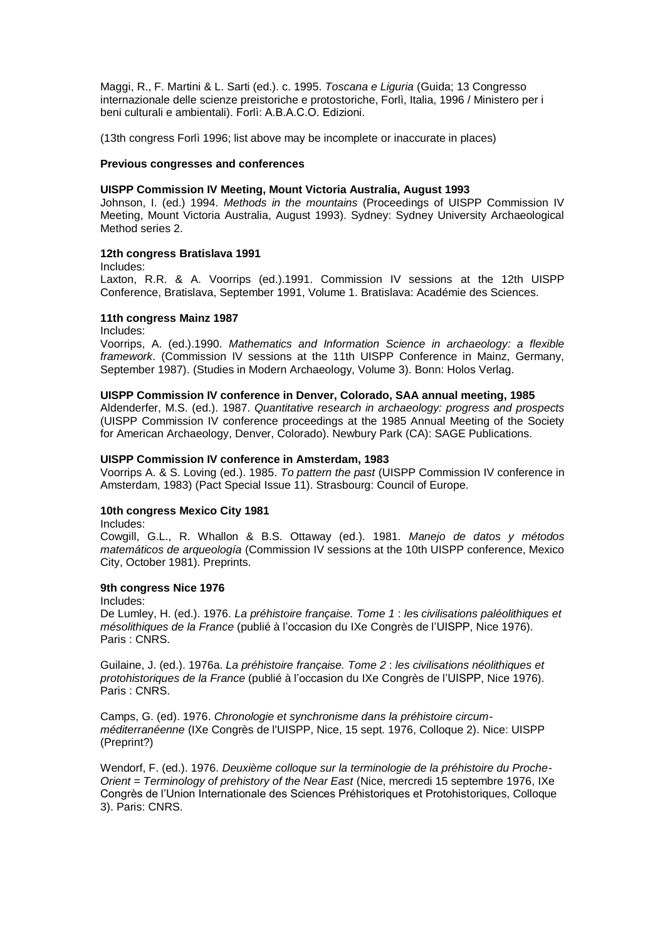Maggi, R., F. Martini & L. Sarti (ed.). c. 1995. *Toscana e Liguria* (Guida; 13 Congresso internazionale delle scienze preistoriche e protostoriche, Forlì, Italia, 1996 / Ministero per i beni culturali e ambientali). Forlì: A.B.A.C.O. Edizioni.

(13th congress Forlì 1996; list above may be incomplete or inaccurate in places)

## **Previous congresses and conferences**

## **UISPP Commission IV Meeting, Mount Victoria Australia, August 1993**

Johnson, I. (ed.) 1994. *Methods in the mountains* (Proceedings of UISPP Commission IV Meeting, Mount Victoria Australia, August 1993). Sydney: Sydney University Archaeological Method series 2.

## **12th congress Bratislava 1991**

Includes:

Laxton, R.R. & A. Voorrips (ed.).1991. Commission IV sessions at the 12th UISPP Conference, Bratislava, September 1991, Volume 1. Bratislava: Académie des Sciences.

## **11th congress Mainz 1987**

Includes:

Voorrips, A. (ed.).1990. *Mathematics and Information Science in archaeology: a flexible framework*. (Commission IV sessions at the 11th UISPP Conference in Mainz, Germany, September 1987). (Studies in Modern Archaeology, Volume 3). Bonn: Holos Verlag.

#### **UISPP Commission IV conference in Denver, Colorado, SAA annual meeting, 1985**

Aldenderfer, M.S. (ed.). 1987. *Quantitative research in archaeology: progress and prospects* (UISPP Commission IV conference proceedings at the 1985 Annual Meeting of the Society for American Archaeology, Denver, Colorado). Newbury Park (CA): SAGE Publications.

## **UISPP Commission IV conference in Amsterdam, 1983**

Voorrips A. & S. Loving (ed.). 1985. *To pattern the past* (UISPP Commission IV conference in Amsterdam, 1983) (Pact Special Issue 11). Strasbourg: Council of Europe.

#### **10th congress Mexico City 1981**

Includes:

Cowgill, G.L., R. Whallon & B.S. Ottaway (ed.). 1981. *Manejo de datos y métodos matemáticos de arqueología* (Commission IV sessions at the 10th UISPP conference, Mexico City, October 1981). Preprints.

## **9th congress Nice 1976**

Includes:

De Lumley, H. (ed.). 1976. *La préhistoire française. Tome 1* : *le*s *civilisations paléolithiques et mésolithiques de la France* (publié à l'occasion du IXe Congrès de l'UISPP, Nice 1976). Paris : CNRS.

Guilaine, J. (ed.). 1976a. *La préhistoire française. Tome 2* : *les civilisations néolithiques et protohistoriques de la France* (publié à l'occasion du IXe Congrès de l'UISPP, Nice 1976). Paris : CNRS.

Camps, G. (ed). 1976. *Chronologie et synchronisme dans la préhistoire circumméditerranéenne* (IXe Congrès de l'UISPP, Nice, 15 sept. 1976, Colloque 2). Nice: UISPP (Preprint?)

Wendorf, F. (ed.). 1976. *Deuxième colloque sur la terminologie de la préhistoire du Proche-Orient = Terminology of prehistory of the Near East* (Nice, mercredi 15 septembre 1976, [IXe](http://vufind.carli.illinois.edu/vf-uiu/Search/Home?lookfor=%22IXe%20%5Bi.e.%20Neuvi%C3%A8me%5D%20congr%C3%A8s%20(Union%20internationale%20des%20sciences%20pr%C3%A9historiques%20et%20protohistoriques)%20%22%20&type=title&start_over=1)  Congrès de l'Union Internationale des Sciences Préhistoriques et Protohistoriques, Colloque 3). Paris: CNRS.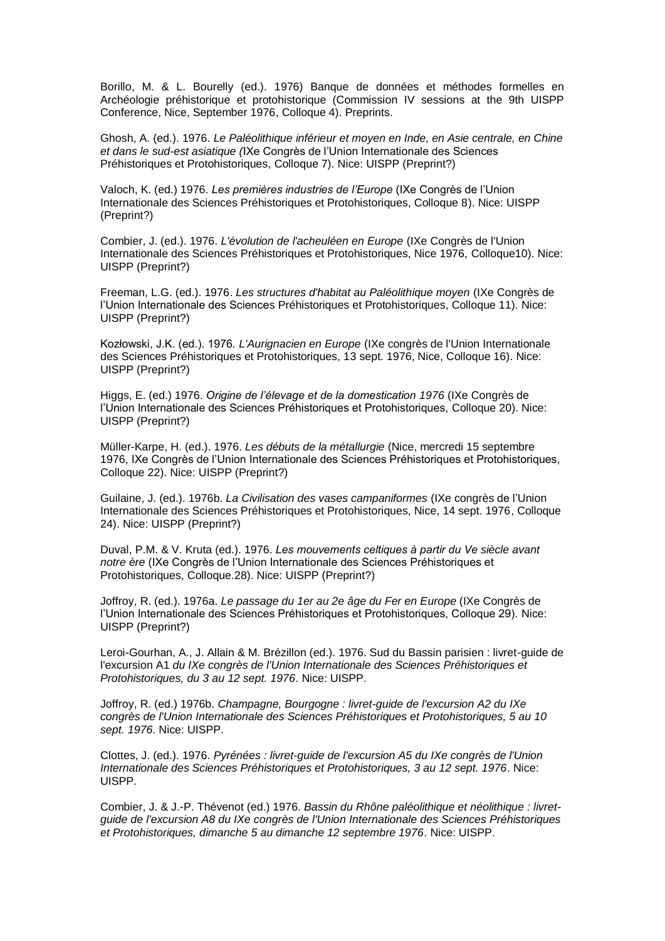Borillo, M. & L. Bourelly (ed.). 1976) Banque de données et méthodes formelles en Archéologie préhistorique et protohistorique (Commission IV sessions at the 9th UISPP Conference, Nice, September 1976, Colloque 4). Preprints.

Ghosh, A. (ed.). 1976. *Le Paléolithique inférieur et moyen en Inde, en Asie centrale, en Chine et dans le sud-est asiatique (*IXe Congrès de l'Union Internationale des Sciences Préhistoriques et Protohistoriques, Colloque 7). Nice: UISPP (Preprint?)

Valoch, K. (ed.) 1976. *Les premières industries de l'Europe* (IXe Congrès de l'Union Internationale des Sciences Préhistoriques et Protohistoriques, Colloque 8). Nice: UISPP (Preprint?)

Combier, J. (ed.). 1976. *L'évolution de l'acheuléen en Europe* (IXe Congrès de l'Union Internationale des Sciences Préhistoriques et Protohistoriques, Nice 1976, Colloque10). Nice: UISPP (Preprint?)

Freeman, L.G. (ed.). 1976. *Les structures d'habitat au Paléolithique moyen* (IXe Congrès de l'Union Internationale des Sciences Préhistoriques et Protohistoriques, Colloque 11). Nice: UISPP (Preprint?)

Kozłowski, J.K. (ed.). 1 *. L'Aurignacien en Europe* (IXe congrès de l'Union Internationale des Sciences Préhistoriques et Protohistoriques, 13 sept. 1976, Nice, Colloque 16). Nice: UISPP (Preprint?)

Higgs, E. (ed.) 1976. *Origine de l'élevage et de la domestication 1976* [\(IXe Congrès de](http://vufind.carli.illinois.edu/vf-uiu/Search/Home?lookfor=%22IXe%20%5Bi.e.%20Neuvi%C3%A8me%5D%20congr%C3%A8s%20(Union%20internationale%20des%20sciences%20pr%C3%A9historiques%20et%20protohistoriques)%20%22%20&type=title&start_over=1)  l'Union Internationale des Sciences Préhistoriques et Protohistoriques, Colloque 20). Nice: UISPP (Preprint?)

Müller-Karpe, H. (ed.). 1976. *Les débuts de la métallurgie* (Nice, mercredi 15 septembre 1976, IXe Congrès de l'Union Internationale des Sciences Préhistoriques et Protohistoriques, Colloque 22). Nice: UISPP (Preprint?)

Guilaine, J. (ed.). 1976b. *La Civilisation des vases campaniformes* (IXe congrès de l'Union Internationale des Sciences Préhistoriques et Protohistoriques, Nice, 14 sept. 1976, Colloque 24). Nice: UISPP (Preprint?)

Duval, P.M. & V. Kruta (ed.). 1976. Les mouvements celtiques à partir du Ve siècle avant notre ère (IXe Congrès de l'Union Internationale des Sciences Préhistoriques et Protohistoriques, Colloque.28). Nice: UISPP (Preprint?)

Joffroy, R. (ed.). 1976a. *Le passage du 1er au 2e âge du Fer en Europe* (IXe Congrès de l'Union Internationale des Sciences Préhistoriques et Protohistoriques, Colloque 29). Nice: UISPP (Preprint?)

Leroi-Gourhan, A., J. Allain & M. Brézillon (ed.). 1976. Sud du Bassin parisien : livret-guide de l'excursion A1 *du IXe congrès de l'Union Internationale des Sciences Préhistoriques et Protohistoriques, du 3 au 12 sept. 1976*. Nice: UISPP.

Joffroy, R. (ed.) 1976b. *Champagne, Bourgogne : livret-guide de l'excursion A2 du IXe congrès de l'Union Internationale des Sciences Préhistoriques et Protohistoriques, 5 au 10 sept. 1976*. Nice: UISPP.

Clottes, J. (ed.). 1976. *Pyrénées : livret-guide de l'excursion A5 du IXe congrès de l'Union Internationale des Sciences Préhistoriques et Protohistoriques, 3 au 12 sept. 1976*. Nice: UISPP.

Combier, J. & J.-P. Thévenot (ed.) 1976. *Bassin du Rhône paléolithique et néolithique : livretguide de l'excursion A8 du IXe congrès de l'Union Internationale des Sciences Préhistoriques et Protohistoriques, dimanche 5 au dimanche 12 septembre 1976*. Nice: UISPP.